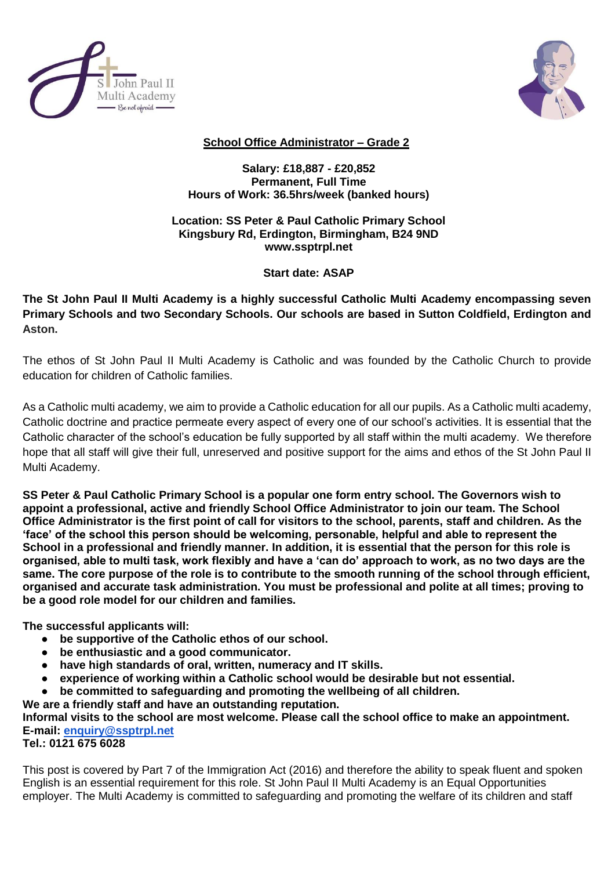



## **School Office Administrator – Grade 2**

**Salary: £18,887 - £20,852 Permanent, Full Time Hours of Work: 36.5hrs/week (banked hours)**

## **Location: SS Peter & Paul Catholic Primary School Kingsbury Rd, Erdington, Birmingham, B24 9ND www.ssptrpl.net**

## **Start date: ASAP**

**The St John Paul II Multi Academy is a highly successful Catholic Multi Academy encompassing seven Primary Schools and two Secondary Schools. Our schools are based in Sutton Coldfield, Erdington and Aston.**

The ethos of St John Paul II Multi Academy is Catholic and was founded by the Catholic Church to provide education for children of Catholic families.

As a Catholic multi academy, we aim to provide a Catholic education for all our pupils. As a Catholic multi academy, Catholic doctrine and practice permeate every aspect of every one of our school's activities. It is essential that the Catholic character of the school's education be fully supported by all staff within the multi academy. We therefore hope that all staff will give their full, unreserved and positive support for the aims and ethos of the St John Paul II Multi Academy.

**SS Peter & Paul Catholic Primary School is a popular one form entry school. The Governors wish to appoint a professional, active and friendly School Office Administrator to join our team. The School Office Administrator is the first point of call for visitors to the school, parents, staff and children. As the 'face' of the school this person should be welcoming, personable, helpful and able to represent the School in a professional and friendly manner. In addition, it is essential that the person for this role is organised, able to multi task, work flexibly and have a 'can do' approach to work, as no two days are the same. The core purpose of the role is to contribute to the smooth running of the school through efficient, organised and accurate task administration. You must be professional and polite at all times; proving to be a good role model for our children and families.** 

**The successful applicants will:**

- **be supportive of the Catholic ethos of our school.**
- **be enthusiastic and a good communicator.**
- **have high standards of oral, written, numeracy and IT skills.**
- **experience of working within a Catholic school would be desirable but not essential.**
- **be committed to safeguarding and promoting the wellbeing of all children.**
- **We are a friendly staff and have an outstanding reputation.**

**Informal visits to the school are most welcome. Please call the school office to make an appointment. E-mail: [enquiry@ssptrpl.net](mailto:enquiry@ssptrpl.net)**

**Tel.: 0121 675 6028**

This post is covered by Part 7 of the Immigration Act (2016) and therefore the ability to speak fluent and spoken English is an essential requirement for this role. St John Paul II Multi Academy is an Equal Opportunities employer. The Multi Academy is committed to safeguarding and promoting the welfare of its children and staff